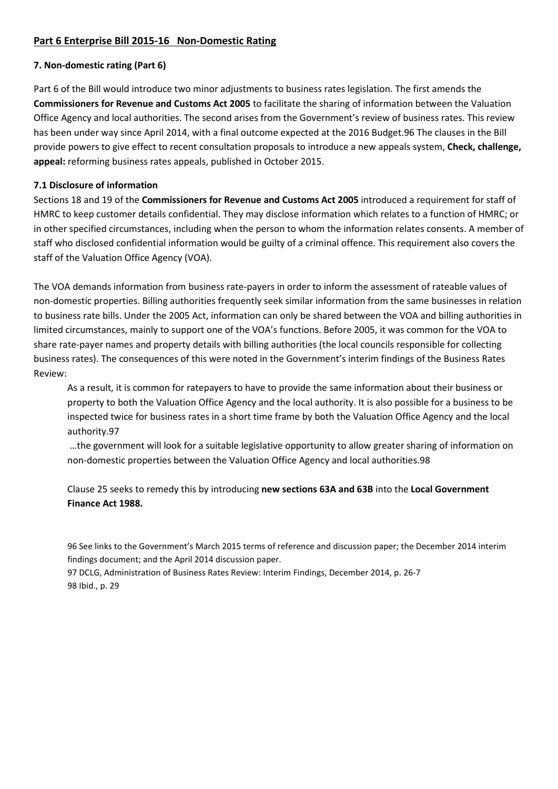# **Part 6 Enterprise Bill 2015-16 Non-Domestic Rating**

# **7. Non-domestic rating (Part 6)**

Part 6 of the Bill would introduce two minor adjustments to business rates legislation. The first amends the **Commissioners for Revenue and Customs Act 2005** to facilitate the sharing of information between the Valuation Office Agency and local authorities. The second arises from the Government's review of business rates. This review has been under way since April 2014, with a final outcome expected at the 2016 Budget.96 The clauses in the Bill provide powers to give effect to recent consultation proposals to introduce a new appeals system, **Check, challenge, appeal:** reforming business rates appeals, published in October 2015.

## **7.1 Disclosure of information**

Sections 18 and 19 of the **Commissioners for Revenue and Customs Act 2005** introduced a requirement for staff of HMRC to keep customer details confidential. They may disclose information which relates to a function of HMRC; or in other specified circumstances, including when the person to whom the information relates consents. A member of staff who disclosed confidential information would be guilty of a criminal offence. This requirement also covers the staff of the Valuation Office Agency (VOA).

The VOA demands information from business rate-payers in order to inform the assessment of rateable values of non-domestic properties. Billing authorities frequently seek similar information from the same businesses in relation to business rate bills. Under the 2005 Act, information can only be shared between the VOA and billing authorities in limited circumstances, mainly to support one of the VOA's functions. Before 2005, it was common for the VOA to share rate-payer names and property details with billing authorities (the local councils responsible for collecting business rates). The consequences of this were noted in the Government's interim findings of the Business Rates Review:

As a result, it is common for ratepayers to have to provide the same information about their business or property to both the Valuation Office Agency and the local authority. It is also possible for a business to be inspected twice for business rates in a short time frame by both the Valuation Office Agency and the local authority.97

…the government will look for a suitable legislative opportunity to allow greater sharing of information on non-domestic properties between the Valuation Office Agency and local authorities.98

Clause 25 seeks to remedy this by introducing **new sections 63A and 63B** into the **Local Government Finance Act 1988.** 

96 See links to the Government's March 2015 terms of reference and discussion paper; the December 2014 interim findings document; and the April 2014 discussion paper.

97 DCLG, Administration of Business Rates Review: Interim Findings, December 2014, p. 26-7 98 Ibid., p. 29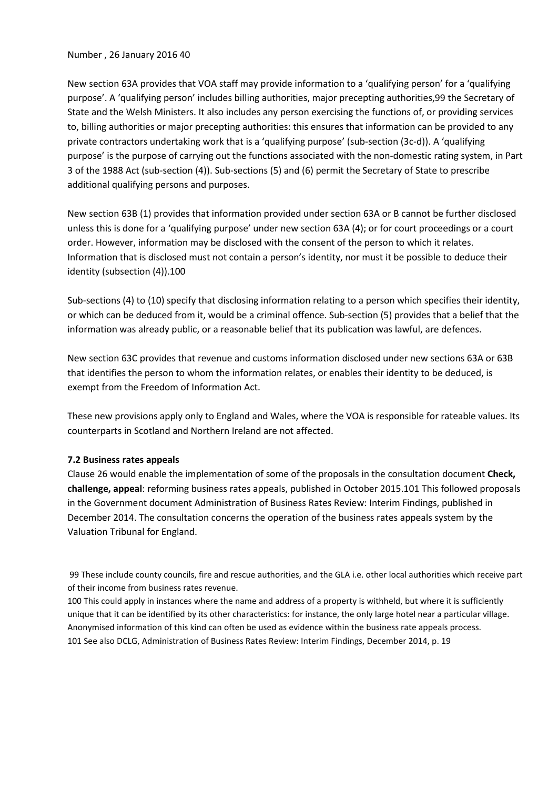#### Number , 26 January 2016 40

New section 63A provides that VOA staff may provide information to a 'qualifying person' for a 'qualifying purpose'. A 'qualifying person' includes billing authorities, major precepting authorities,99 the Secretary of State and the Welsh Ministers. It also includes any person exercising the functions of, or providing services to, billing authorities or major precepting authorities: this ensures that information can be provided to any private contractors undertaking work that is a 'qualifying purpose' (sub-section (3c-d)). A 'qualifying purpose' is the purpose of carrying out the functions associated with the non-domestic rating system, in Part 3 of the 1988 Act (sub-section (4)). Sub-sections (5) and (6) permit the Secretary of State to prescribe additional qualifying persons and purposes.

New section 63B (1) provides that information provided under section 63A or B cannot be further disclosed unless this is done for a 'qualifying purpose' under new section 63A (4); or for court proceedings or a court order. However, information may be disclosed with the consent of the person to which it relates. Information that is disclosed must not contain a person's identity, nor must it be possible to deduce their identity (subsection (4)).100

Sub-sections (4) to (10) specify that disclosing information relating to a person which specifies their identity, or which can be deduced from it, would be a criminal offence. Sub-section (5) provides that a belief that the information was already public, or a reasonable belief that its publication was lawful, are defences.

New section 63C provides that revenue and customs information disclosed under new sections 63A or 63B that identifies the person to whom the information relates, or enables their identity to be deduced, is exempt from the Freedom of Information Act.

These new provisions apply only to England and Wales, where the VOA is responsible for rateable values. Its counterparts in Scotland and Northern Ireland are not affected.

### **7.2 Business rates appeals**

Clause 26 would enable the implementation of some of the proposals in the consultation document **Check, challenge, appeal**: reforming business rates appeals, published in October 2015.101 This followed proposals in the Government document Administration of Business Rates Review: Interim Findings, published in December 2014. The consultation concerns the operation of the business rates appeals system by the Valuation Tribunal for England.

99 These include county councils, fire and rescue authorities, and the GLA i.e. other local authorities which receive part of their income from business rates revenue.

100 This could apply in instances where the name and address of a property is withheld, but where it is sufficiently unique that it can be identified by its other characteristics: for instance, the only large hotel near a particular village. Anonymised information of this kind can often be used as evidence within the business rate appeals process. 101 See also DCLG, Administration of Business Rates Review: Interim Findings, December 2014, p. 19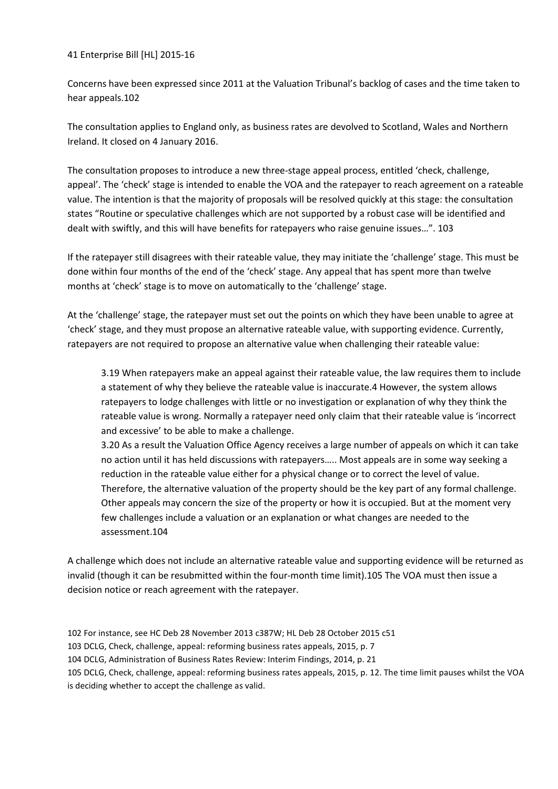41 Enterprise Bill [HL] 2015-16

Concerns have been expressed since 2011 at the Valuation Tribunal's backlog of cases and the time taken to hear appeals.102

The consultation applies to England only, as business rates are devolved to Scotland, Wales and Northern Ireland. It closed on 4 January 2016.

The consultation proposes to introduce a new three-stage appeal process, entitled 'check, challenge, appeal'. The 'check' stage is intended to enable the VOA and the ratepayer to reach agreement on a rateable value. The intention is that the majority of proposals will be resolved quickly at this stage: the consultation states "Routine or speculative challenges which are not supported by a robust case will be identified and dealt with swiftly, and this will have benefits for ratepayers who raise genuine issues…". 103

If the ratepayer still disagrees with their rateable value, they may initiate the 'challenge' stage. This must be done within four months of the end of the 'check' stage. Any appeal that has spent more than twelve months at 'check' stage is to move on automatically to the 'challenge' stage.

At the 'challenge' stage, the ratepayer must set out the points on which they have been unable to agree at 'check' stage, and they must propose an alternative rateable value, with supporting evidence. Currently, ratepayers are not required to propose an alternative value when challenging their rateable value:

3.19 When ratepayers make an appeal against their rateable value, the law requires them to include a statement of why they believe the rateable value is inaccurate.4 However, the system allows ratepayers to lodge challenges with little or no investigation or explanation of why they think the rateable value is wrong. Normally a ratepayer need only claim that their rateable value is 'incorrect and excessive' to be able to make a challenge.

3.20 As a result the Valuation Office Agency receives a large number of appeals on which it can take no action until it has held discussions with ratepayers….. Most appeals are in some way seeking a reduction in the rateable value either for a physical change or to correct the level of value. Therefore, the alternative valuation of the property should be the key part of any formal challenge. Other appeals may concern the size of the property or how it is occupied. But at the moment very few challenges include a valuation or an explanation or what changes are needed to the assessment.104

A challenge which does not include an alternative rateable value and supporting evidence will be returned as invalid (though it can be resubmitted within the four-month time limit).105 The VOA must then issue a decision notice or reach agreement with the ratepayer.

102 For instance, see HC Deb 28 November 2013 c387W; HL Deb 28 October 2015 c51 103 DCLG, Check, challenge, appeal: reforming business rates appeals, 2015, p. 7 104 DCLG, Administration of Business Rates Review: Interim Findings, 2014, p. 21 105 DCLG, Check, challenge, appeal: reforming business rates appeals, 2015, p. 12. The time limit pauses whilst the VOA is deciding whether to accept the challenge as valid.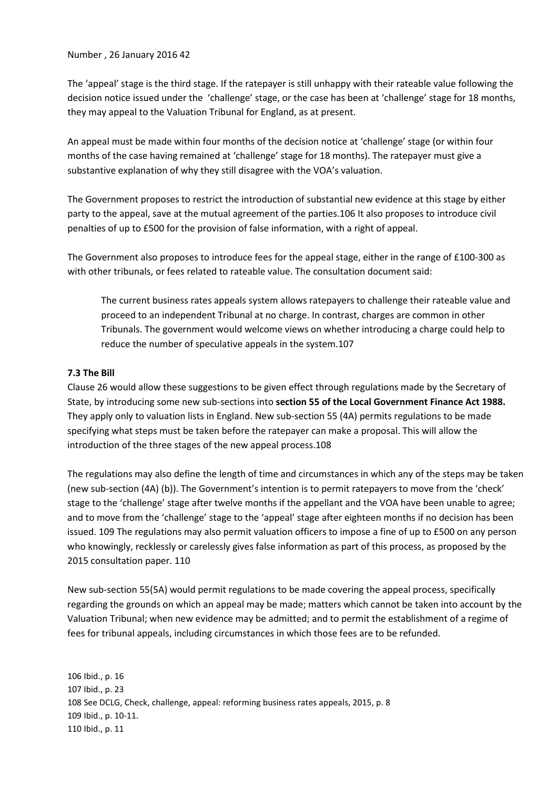Number , 26 January 2016 42

The 'appeal' stage is the third stage. If the ratepayer is still unhappy with their rateable value following the decision notice issued under the 'challenge' stage, or the case has been at 'challenge' stage for 18 months, they may appeal to the Valuation Tribunal for England, as at present.

An appeal must be made within four months of the decision notice at 'challenge' stage (or within four months of the case having remained at 'challenge' stage for 18 months). The ratepayer must give a substantive explanation of why they still disagree with the VOA's valuation.

The Government proposes to restrict the introduction of substantial new evidence at this stage by either party to the appeal, save at the mutual agreement of the parties.106 It also proposes to introduce civil penalties of up to £500 for the provision of false information, with a right of appeal.

The Government also proposes to introduce fees for the appeal stage, either in the range of £100-300 as with other tribunals, or fees related to rateable value. The consultation document said:

The current business rates appeals system allows ratepayers to challenge their rateable value and proceed to an independent Tribunal at no charge. In contrast, charges are common in other Tribunals. The government would welcome views on whether introducing a charge could help to reduce the number of speculative appeals in the system.107

### **7.3 The Bill**

Clause 26 would allow these suggestions to be given effect through regulations made by the Secretary of State, by introducing some new sub-sections into **section 55 of the Local Government Finance Act 1988.** They apply only to valuation lists in England. New sub-section 55 (4A) permits regulations to be made specifying what steps must be taken before the ratepayer can make a proposal. This will allow the introduction of the three stages of the new appeal process.108

The regulations may also define the length of time and circumstances in which any of the steps may be taken (new sub-section (4A) (b)). The Government's intention is to permit ratepayers to move from the 'check' stage to the 'challenge' stage after twelve months if the appellant and the VOA have been unable to agree; and to move from the 'challenge' stage to the 'appeal' stage after eighteen months if no decision has been issued. 109 The regulations may also permit valuation officers to impose a fine of up to £500 on any person who knowingly, recklessly or carelessly gives false information as part of this process, as proposed by the 2015 consultation paper. 110

New sub-section 55(5A) would permit regulations to be made covering the appeal process, specifically regarding the grounds on which an appeal may be made; matters which cannot be taken into account by the Valuation Tribunal; when new evidence may be admitted; and to permit the establishment of a regime of fees for tribunal appeals, including circumstances in which those fees are to be refunded.

106 Ibid., p. 16 107 Ibid., p. 23 108 See DCLG, Check, challenge, appeal: reforming business rates appeals, 2015, p. 8 109 Ibid., p. 10-11. 110 Ibid., p. 11